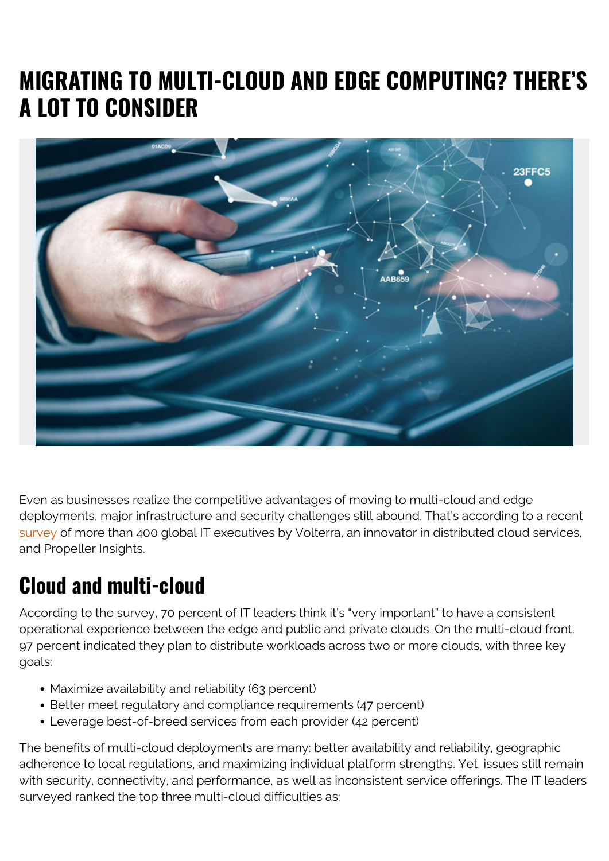## **MIGRATING TO MULTI-CLOUD AND EDGE COMPUTING? THERE'S A LOT TO CONSIDER**



Even as businesses realize the competitive advantages of moving to multi-cloud and edge deployments, major infrastructure and security challenges still abound. That's according to a recent [survey](https://www.volterra.io/company/news/infrastructure-security-challenges-threaten-multi-cloud-edge-deployments) of more than 400 global IT executives by Volterra, an innovator in distributed cloud services, and Propeller Insights.

## **Cloud and multi-cloud**

According to the survey, 70 percent of IT leaders think it's "very important" to have a consistent operational experience between the edge and public and private clouds. On the multi-cloud front, 97 percent indicated they plan to distribute workloads across two or more clouds, with three key goals:

- Maximize availability and reliability (63 percent)
- Better meet regulatory and compliance requirements (47 percent)
- Leverage best-of-breed services from each provider (42 percent)

The benefits of multi-cloud deployments are many: better availability and reliability, geographic adherence to local regulations, and maximizing individual platform strengths. Yet, issues still remain with security, connectivity, and performance, as well as inconsistent service offerings. The IT leaders surveyed ranked the top three multi-cloud difficulties as: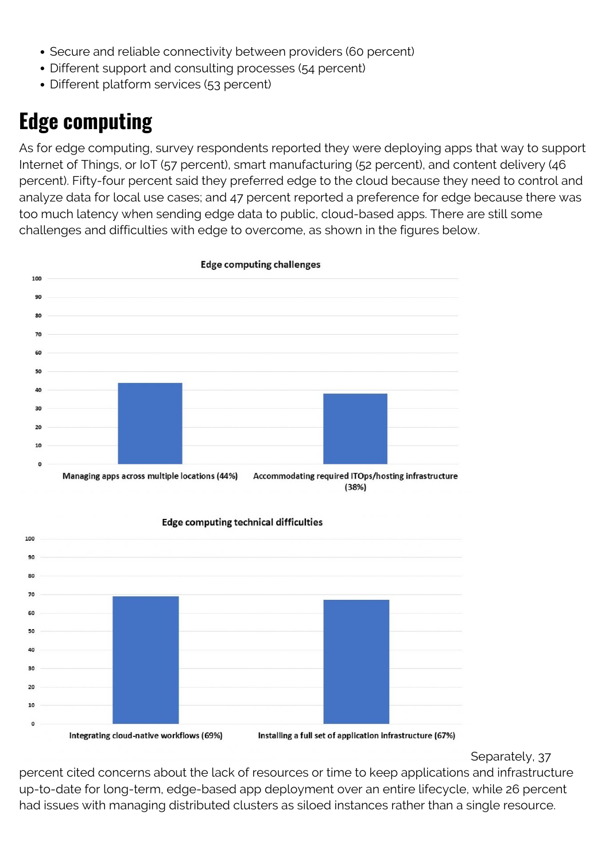- Secure and reliable connectivity between providers (60 percent)
- Different support and consulting processes (54 percent)
- Different platform services (53 percent)

## **Edge computing**

As for edge computing, survey respondents reported they were deploying apps that way to support Internet of Things, or IoT (57 percent), smart manufacturing (52 percent), and content delivery (46 percent). Fifty-four percent said they preferred edge to the cloud because they need to control and analyze data for local use cases; and 47 percent reported a preference for edge because there was too much latency when sending edge data to public, cloud-based apps. There are still some challenges and difficulties with edge to overcome, as shown in the figures below.



**Edge computing technical difficulties** 



Separately, 37

percent cited concerns about the lack of resources or time to keep applications and infrastructure up-to-date for long-term, edge-based app deployment over an entire lifecycle, while 26 percent had issues with managing distributed clusters as siloed instances rather than a single resource.